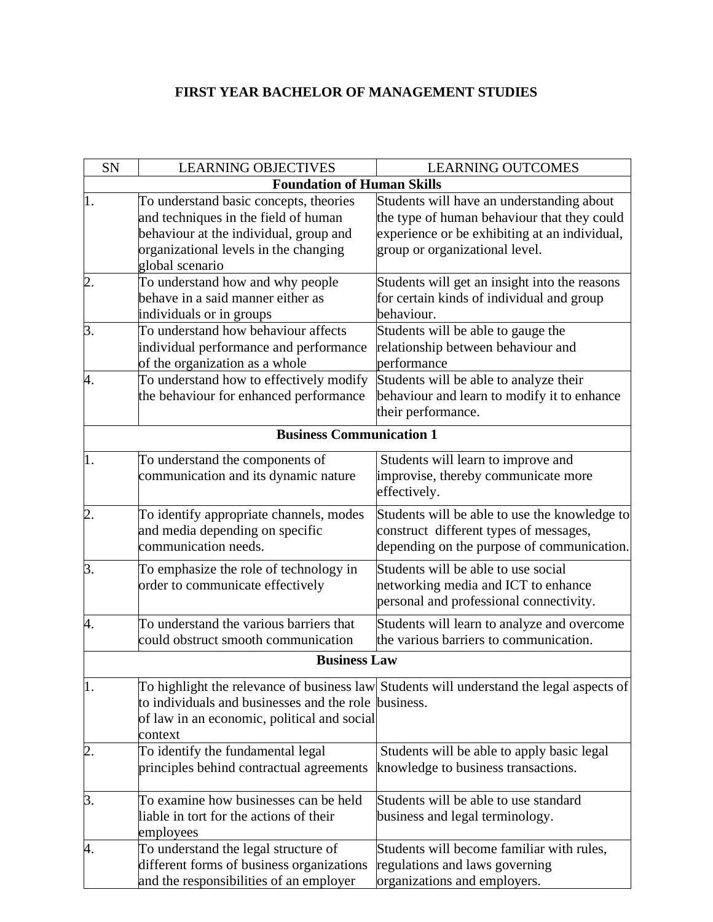## **FIRST YEAR BACHELOR OF MANAGEMENT STUDIES**

| <b>SN</b>        | <b>LEARNING OBJECTIVES</b>                                                                                                                                                           | <b>LEARNING OUTCOMES</b>                                                                                                                                                    |  |  |
|------------------|--------------------------------------------------------------------------------------------------------------------------------------------------------------------------------------|-----------------------------------------------------------------------------------------------------------------------------------------------------------------------------|--|--|
|                  | <b>Foundation of Human Skills</b>                                                                                                                                                    |                                                                                                                                                                             |  |  |
| I.               | To understand basic concepts, theories<br>and techniques in the field of human<br>behaviour at the individual, group and<br>organizational levels in the changing<br>global scenario | Students will have an understanding about<br>the type of human behaviour that they could<br>experience or be exhibiting at an individual,<br>group or organizational level. |  |  |
| 2.               | To understand how and why people<br>behave in a said manner either as<br>individuals or in groups                                                                                    | Students will get an insight into the reasons<br>for certain kinds of individual and group<br>behaviour.                                                                    |  |  |
| 3.               | To understand how behaviour affects<br>individual performance and performance<br>of the organization as a whole                                                                      | Students will be able to gauge the<br>relationship between behaviour and<br>performance                                                                                     |  |  |
| 4.               | To understand how to effectively modify<br>the behaviour for enhanced performance                                                                                                    | Students will be able to analyze their<br>behaviour and learn to modify it to enhance<br>their performance.                                                                 |  |  |
|                  | <b>Business Communication 1</b>                                                                                                                                                      |                                                                                                                                                                             |  |  |
| 1.               | To understand the components of<br>communication and its dynamic nature                                                                                                              | Students will learn to improve and<br>improvise, thereby communicate more<br>effectively.                                                                                   |  |  |
| $\overline{2}$ . | To identify appropriate channels, modes<br>and media depending on specific<br>communication needs.                                                                                   | Students will be able to use the knowledge to<br>construct different types of messages,<br>depending on the purpose of communication.                                       |  |  |
| 3.               | To emphasize the role of technology in<br>order to communicate effectively                                                                                                           | Students will be able to use social<br>networking media and ICT to enhance<br>personal and professional connectivity.                                                       |  |  |
| 4.               | To understand the various barriers that<br>could obstruct smooth communication                                                                                                       | Students will learn to analyze and overcome<br>the various barriers to communication.                                                                                       |  |  |
|                  | <b>Business Law</b>                                                                                                                                                                  |                                                                                                                                                                             |  |  |
| $\vert$ 1.       | to individuals and businesses and the role business.<br>of law in an economic, political and social<br>context                                                                       | To highlight the relevance of business law Students will understand the legal aspects of                                                                                    |  |  |
| $\overline{2}$ . | To identify the fundamental legal<br>principles behind contractual agreements                                                                                                        | Students will be able to apply basic legal<br>knowledge to business transactions.                                                                                           |  |  |
| 3.               | To examine how businesses can be held<br>liable in tort for the actions of their<br>employees                                                                                        | Students will be able to use standard<br>business and legal terminology.                                                                                                    |  |  |
| 4.               | To understand the legal structure of<br>different forms of business organizations<br>and the responsibilities of an employer                                                         | Students will become familiar with rules,<br>regulations and laws governing<br>organizations and employers.                                                                 |  |  |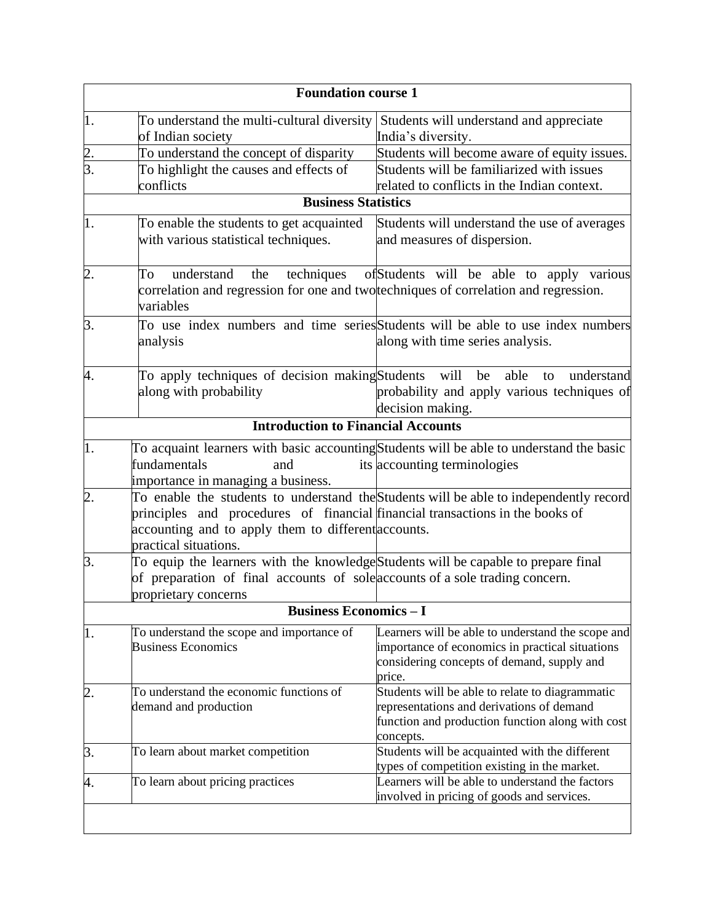|                  | <b>Foundation course 1</b>                                                                                                                                                                 |                                                                                                                                                               |  |  |
|------------------|--------------------------------------------------------------------------------------------------------------------------------------------------------------------------------------------|---------------------------------------------------------------------------------------------------------------------------------------------------------------|--|--|
| 1.               | To understand the multi-cultural diversity Students will understand and appreciate<br>of Indian society                                                                                    | India's diversity.                                                                                                                                            |  |  |
| $\overline{2}$ . | To understand the concept of disparity                                                                                                                                                     | Students will become aware of equity issues.                                                                                                                  |  |  |
| 3.               | To highlight the causes and effects of                                                                                                                                                     | Students will be familiarized with issues                                                                                                                     |  |  |
|                  | conflicts                                                                                                                                                                                  | related to conflicts in the Indian context.                                                                                                                   |  |  |
|                  | <b>Business Statistics</b>                                                                                                                                                                 |                                                                                                                                                               |  |  |
| 1.               | To enable the students to get acquainted<br>with various statistical techniques.                                                                                                           | Students will understand the use of averages<br>and measures of dispersion.                                                                                   |  |  |
| $\overline{2}$ . | understand the<br>To<br>correlation and regression for one and twortechniques of correlation and regression.<br>variables                                                                  | techniques of Students will be able to apply various                                                                                                          |  |  |
| 3.               | analysis                                                                                                                                                                                   | To use index numbers and time series Students will be able to use index numbers<br>along with time series analysis.                                           |  |  |
| 4.               | To apply techniques of decision making Students<br>along with probability                                                                                                                  | will<br>be<br>able<br>understand<br>to<br>probability and apply various techniques of<br>decision making.                                                     |  |  |
|                  | <b>Introduction to Financial Accounts</b>                                                                                                                                                  |                                                                                                                                                               |  |  |
| $\vert$ 1.       | fundamentals<br>and<br>importance in managing a business.                                                                                                                                  | To acquaint learners with basic accounting Students will be able to understand the basic<br>its accounting terminologies                                      |  |  |
| $\overline{2}$ . | principles and procedures of financial financial transactions in the books of<br>accounting and to apply them to different accounts.<br>practical situations.                              | To enable the students to understand the Students will be able to independently record                                                                        |  |  |
| β.               | To equip the learners with the knowledge Students will be capable to prepare final<br>of preparation of final accounts of sole accounts of a sole trading concern.<br>proprietary concerns |                                                                                                                                                               |  |  |
|                  | <b>Business Economics - I</b>                                                                                                                                                              |                                                                                                                                                               |  |  |
| 1.               | To understand the scope and importance of<br><b>Business Economics</b>                                                                                                                     | Learners will be able to understand the scope and<br>importance of economics in practical situations<br>considering concepts of demand, supply and<br>price.  |  |  |
| $\overline{2}$ . | To understand the economic functions of<br>demand and production                                                                                                                           | Students will be able to relate to diagrammatic<br>representations and derivations of demand<br>function and production function along with cost<br>concepts. |  |  |
| 3.               | To learn about market competition                                                                                                                                                          | Students will be acquainted with the different                                                                                                                |  |  |
| 4.               | To learn about pricing practices                                                                                                                                                           | types of competition existing in the market.<br>Learners will be able to understand the factors<br>involved in pricing of goods and services.                 |  |  |
|                  |                                                                                                                                                                                            |                                                                                                                                                               |  |  |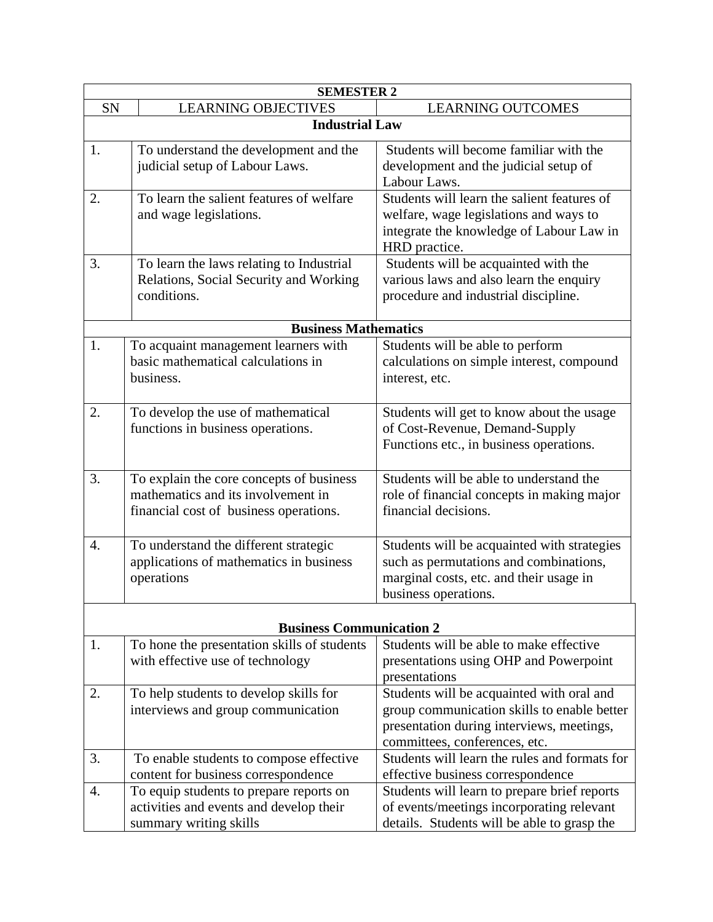| <b>SEMESTER 2</b> |                                             |                                                                                |  |  |
|-------------------|---------------------------------------------|--------------------------------------------------------------------------------|--|--|
| SN                | <b>LEARNING OBJECTIVES</b>                  | <b>LEARNING OUTCOMES</b>                                                       |  |  |
|                   | <b>Industrial Law</b>                       |                                                                                |  |  |
| 1.                | To understand the development and the       | Students will become familiar with the                                         |  |  |
|                   | judicial setup of Labour Laws.              | development and the judicial setup of                                          |  |  |
|                   |                                             | Labour Laws.                                                                   |  |  |
| 2.                | To learn the salient features of welfare    | Students will learn the salient features of                                    |  |  |
|                   | and wage legislations.                      | welfare, wage legislations and ways to                                         |  |  |
|                   |                                             | integrate the knowledge of Labour Law in                                       |  |  |
| 3.                | To learn the laws relating to Industrial    | HRD practice.<br>Students will be acquainted with the                          |  |  |
|                   | Relations, Social Security and Working      | various laws and also learn the enquiry                                        |  |  |
|                   | conditions.                                 | procedure and industrial discipline.                                           |  |  |
|                   |                                             |                                                                                |  |  |
|                   | <b>Business Mathematics</b>                 |                                                                                |  |  |
| 1.                | To acquaint management learners with        | Students will be able to perform                                               |  |  |
|                   | basic mathematical calculations in          | calculations on simple interest, compound                                      |  |  |
|                   | business.                                   | interest, etc.                                                                 |  |  |
| 2.                | To develop the use of mathematical          | Students will get to know about the usage                                      |  |  |
|                   | functions in business operations.           | of Cost-Revenue, Demand-Supply                                                 |  |  |
|                   |                                             | Functions etc., in business operations.                                        |  |  |
|                   |                                             |                                                                                |  |  |
| 3.                | To explain the core concepts of business    | Students will be able to understand the                                        |  |  |
|                   | mathematics and its involvement in          | role of financial concepts in making major<br>financial decisions.             |  |  |
|                   | financial cost of business operations.      |                                                                                |  |  |
| 4.                | To understand the different strategic       | Students will be acquainted with strategies                                    |  |  |
|                   | applications of mathematics in business     | such as permutations and combinations,                                         |  |  |
|                   | operations                                  | marginal costs, etc. and their usage in                                        |  |  |
|                   |                                             | business operations.                                                           |  |  |
|                   | <b>Business Communication 2</b>             |                                                                                |  |  |
| 1.                | To hone the presentation skills of students | Students will be able to make effective                                        |  |  |
|                   | with effective use of technology            | presentations using OHP and Powerpoint                                         |  |  |
|                   |                                             | presentations                                                                  |  |  |
| 2.                | To help students to develop skills for      | Students will be acquainted with oral and                                      |  |  |
|                   | interviews and group communication          | group communication skills to enable better                                    |  |  |
|                   |                                             | presentation during interviews, meetings,                                      |  |  |
| 3.                | To enable students to compose effective     | committees, conferences, etc.<br>Students will learn the rules and formats for |  |  |
|                   | content for business correspondence         | effective business correspondence                                              |  |  |
| 4.                | To equip students to prepare reports on     | Students will learn to prepare brief reports                                   |  |  |
|                   | activities and events and develop their     | of events/meetings incorporating relevant                                      |  |  |
|                   | summary writing skills                      | details. Students will be able to grasp the                                    |  |  |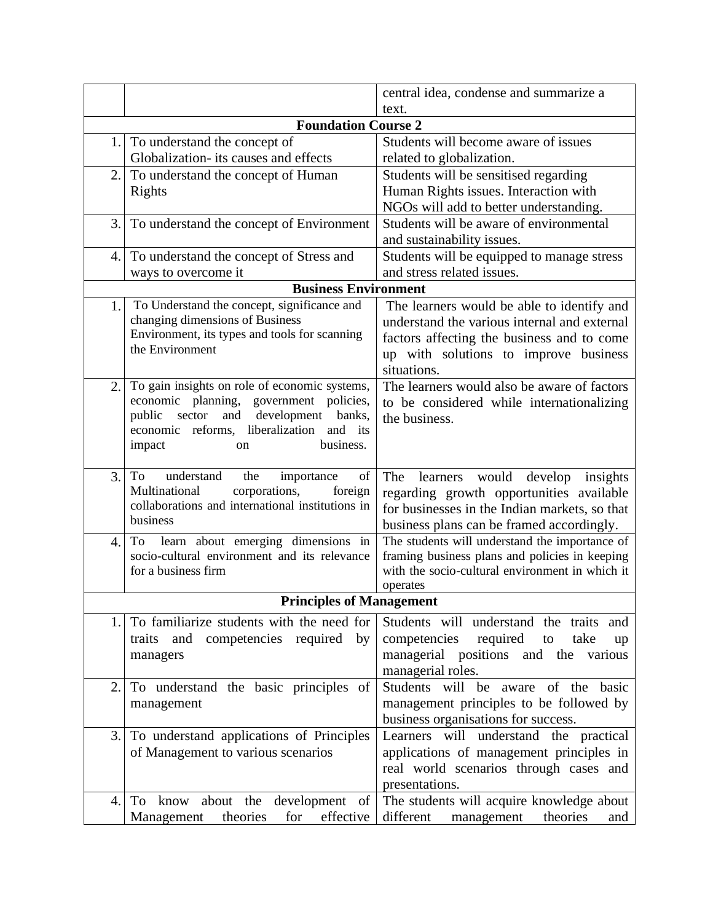|                            |                                                                | central idea, condense and summarize a                                                     |  |  |
|----------------------------|----------------------------------------------------------------|--------------------------------------------------------------------------------------------|--|--|
|                            |                                                                | text.                                                                                      |  |  |
| <b>Foundation Course 2</b> |                                                                |                                                                                            |  |  |
| 1.                         | To understand the concept of                                   | Students will become aware of issues                                                       |  |  |
|                            | Globalization- its causes and effects                          | related to globalization.                                                                  |  |  |
| 2.                         | To understand the concept of Human                             | Students will be sensitised regarding                                                      |  |  |
|                            | Rights                                                         | Human Rights issues. Interaction with                                                      |  |  |
|                            |                                                                | NGOs will add to better understanding.                                                     |  |  |
| 3.                         | To understand the concept of Environment                       | Students will be aware of environmental                                                    |  |  |
|                            |                                                                | and sustainability issues.                                                                 |  |  |
| 4.                         | To understand the concept of Stress and<br>ways to overcome it | Students will be equipped to manage stress<br>and stress related issues.                   |  |  |
|                            | <b>Business Environment</b>                                    |                                                                                            |  |  |
| 1.                         | To Understand the concept, significance and                    |                                                                                            |  |  |
|                            | changing dimensions of Business                                | The learners would be able to identify and<br>understand the various internal and external |  |  |
|                            | Environment, its types and tools for scanning                  | factors affecting the business and to come                                                 |  |  |
|                            | the Environment                                                | up with solutions to improve business                                                      |  |  |
|                            |                                                                | situations.                                                                                |  |  |
| 2.                         | To gain insights on role of economic systems,                  | The learners would also be aware of factors                                                |  |  |
|                            | economic planning, government policies,                        | to be considered while internationalizing                                                  |  |  |
|                            | public<br>sector<br>and<br>development banks,                  | the business.                                                                              |  |  |
|                            | economic reforms, liberalization and its                       |                                                                                            |  |  |
|                            | business.<br>impact<br>on                                      |                                                                                            |  |  |
| 3.                         | understand<br>To<br>the<br>of<br>importance                    | learners would develop<br>The<br>insights                                                  |  |  |
|                            | Multinational<br>corporations,<br>foreign                      | regarding growth opportunities available                                                   |  |  |
|                            | collaborations and international institutions in               | for businesses in the Indian markets, so that                                              |  |  |
|                            | business                                                       | business plans can be framed accordingly.                                                  |  |  |
| 4.                         | learn about emerging dimensions in<br>To                       | The students will understand the importance of                                             |  |  |
|                            | socio-cultural environment and its relevance                   | framing business plans and policies in keeping                                             |  |  |
|                            | for a business firm                                            | with the socio-cultural environment in which it                                            |  |  |
|                            |                                                                | operates                                                                                   |  |  |
|                            | <b>Principles of Management</b>                                |                                                                                            |  |  |
| 1.                         | To familiarize students with the need for                      | Students will understand the traits and                                                    |  |  |
|                            | traits and competencies required by                            | competencies required<br>take<br>to<br>up                                                  |  |  |
|                            | managers                                                       | managerial positions and the various                                                       |  |  |
|                            |                                                                | managerial roles.<br>Students will be aware of the basic                                   |  |  |
| 2.                         | To understand the basic principles of<br>management            | management principles to be followed by                                                    |  |  |
|                            |                                                                | business organisations for success.                                                        |  |  |
| 3.1                        | To understand applications of Principles                       | Learners will understand the practical                                                     |  |  |
|                            | of Management to various scenarios                             | applications of management principles in                                                   |  |  |
|                            |                                                                | real world scenarios through cases and                                                     |  |  |
|                            |                                                                | presentations.                                                                             |  |  |
| 4.                         | To know about the development of                               | The students will acquire knowledge about                                                  |  |  |
|                            | theories<br>effective<br>Management<br>for                     | different<br>management<br>theories<br>and                                                 |  |  |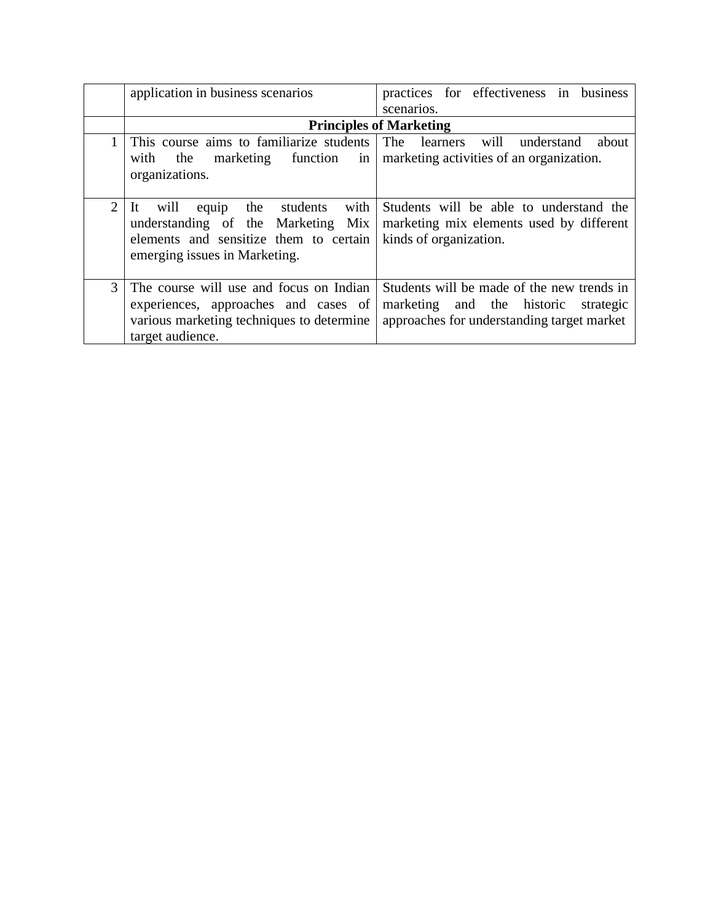|                | application in business scenarios                                                                                                                          | practices for effectiveness in business<br>scenarios.                                                                               |
|----------------|------------------------------------------------------------------------------------------------------------------------------------------------------------|-------------------------------------------------------------------------------------------------------------------------------------|
|                |                                                                                                                                                            | <b>Principles of Marketing</b>                                                                                                      |
|                | This course aims to familiarize students<br>with the marketing function in marketing activities of an organization.<br>organizations.                      | The learners will understand<br>about                                                                                               |
| $\overline{2}$ | students with<br>equip the<br>-lt<br>will<br>understanding of the Marketing Mix<br>elements and sensitize them to certain<br>emerging issues in Marketing. | Students will be able to understand the<br>marketing mix elements used by different<br>kinds of organization.                       |
| 3              | The course will use and focus on Indian<br>experiences, approaches and cases of<br>various marketing techniques to determine<br>target audience.           | Students will be made of the new trends in<br>marketing and the historic<br>strategic<br>approaches for understanding target market |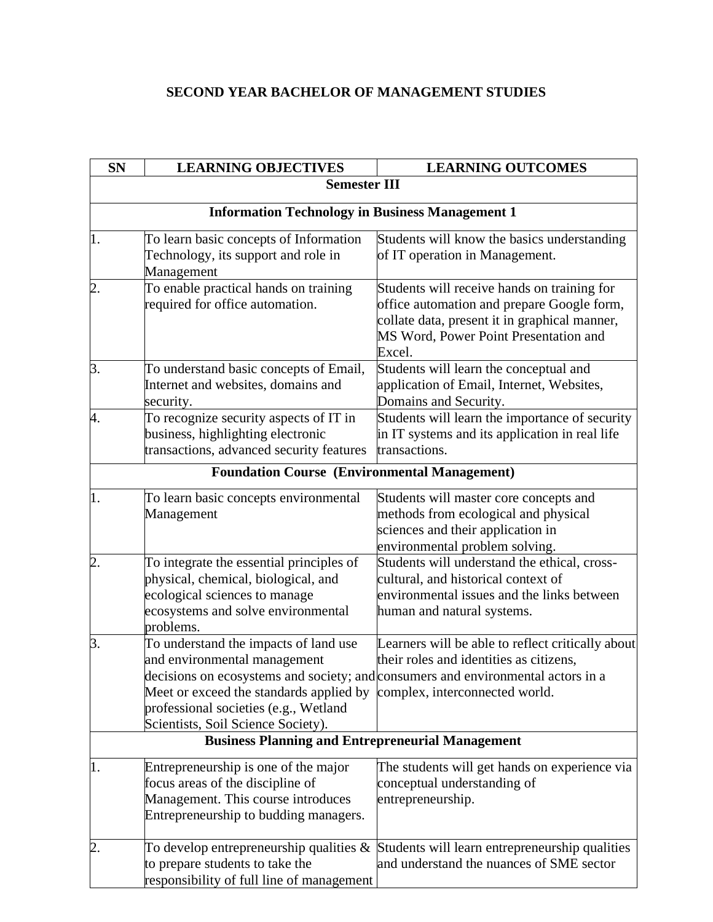## **SECOND YEAR BACHELOR OF MANAGEMENT STUDIES**

| <b>SN</b>        | <b>LEARNING OBJECTIVES</b>                                                                                                                                                                                                                                                                                         | <b>LEARNING OUTCOMES</b>                                                                                                                                                                      |  |  |  |
|------------------|--------------------------------------------------------------------------------------------------------------------------------------------------------------------------------------------------------------------------------------------------------------------------------------------------------------------|-----------------------------------------------------------------------------------------------------------------------------------------------------------------------------------------------|--|--|--|
|                  | <b>Semester III</b>                                                                                                                                                                                                                                                                                                |                                                                                                                                                                                               |  |  |  |
|                  | <b>Information Technology in Business Management 1</b>                                                                                                                                                                                                                                                             |                                                                                                                                                                                               |  |  |  |
| 1.               | To learn basic concepts of Information<br>Technology, its support and role in<br>Management                                                                                                                                                                                                                        | Students will know the basics understanding<br>of IT operation in Management.                                                                                                                 |  |  |  |
| $\overline{2}$ . | To enable practical hands on training<br>required for office automation.                                                                                                                                                                                                                                           | Students will receive hands on training for<br>office automation and prepare Google form,<br>collate data, present it in graphical manner,<br>MS Word, Power Point Presentation and<br>Excel. |  |  |  |
| 3.               | To understand basic concepts of Email,<br>Internet and websites, domains and<br>security.                                                                                                                                                                                                                          | Students will learn the conceptual and<br>application of Email, Internet, Websites,<br>Domains and Security.                                                                                  |  |  |  |
| 4.               | To recognize security aspects of IT in<br>business, highlighting electronic<br>transactions, advanced security features                                                                                                                                                                                            | Students will learn the importance of security<br>in IT systems and its application in real life<br>transactions.                                                                             |  |  |  |
|                  | <b>Foundation Course (Environmental Management)</b>                                                                                                                                                                                                                                                                |                                                                                                                                                                                               |  |  |  |
| 1.               | To learn basic concepts environmental<br>Management                                                                                                                                                                                                                                                                | Students will master core concepts and<br>methods from ecological and physical<br>sciences and their application in<br>environmental problem solving.                                         |  |  |  |
| 2.               | To integrate the essential principles of<br>physical, chemical, biological, and<br>ecological sciences to manage<br>ecosystems and solve environmental<br>problems.                                                                                                                                                | Students will understand the ethical, cross-<br>cultural, and historical context of<br>environmental issues and the links between<br>human and natural systems.                               |  |  |  |
| 3.               | To understand the impacts of land use<br>and environmental management<br>decisions on ecosystems and society; and consumers and environmental actors in a<br>Meet or exceed the standards applied by complex, interconnected world.<br>professional societies (e.g., Wetland<br>Scientists, Soil Science Society). | Learners will be able to reflect critically about<br>their roles and identities as citizens,                                                                                                  |  |  |  |
|                  | <b>Business Planning and Entrepreneurial Management</b>                                                                                                                                                                                                                                                            |                                                                                                                                                                                               |  |  |  |
| 1.               | Entrepreneurship is one of the major<br>focus areas of the discipline of<br>Management. This course introduces<br>Entrepreneurship to budding managers.                                                                                                                                                            | The students will get hands on experience via<br>conceptual understanding of<br>entrepreneurship.                                                                                             |  |  |  |
| $\overline{2}$ . | To develop entrepreneurship qualities $\&$<br>to prepare students to take the<br>responsibility of full line of management                                                                                                                                                                                         | Students will learn entrepreneurship qualities<br>and understand the nuances of SME sector                                                                                                    |  |  |  |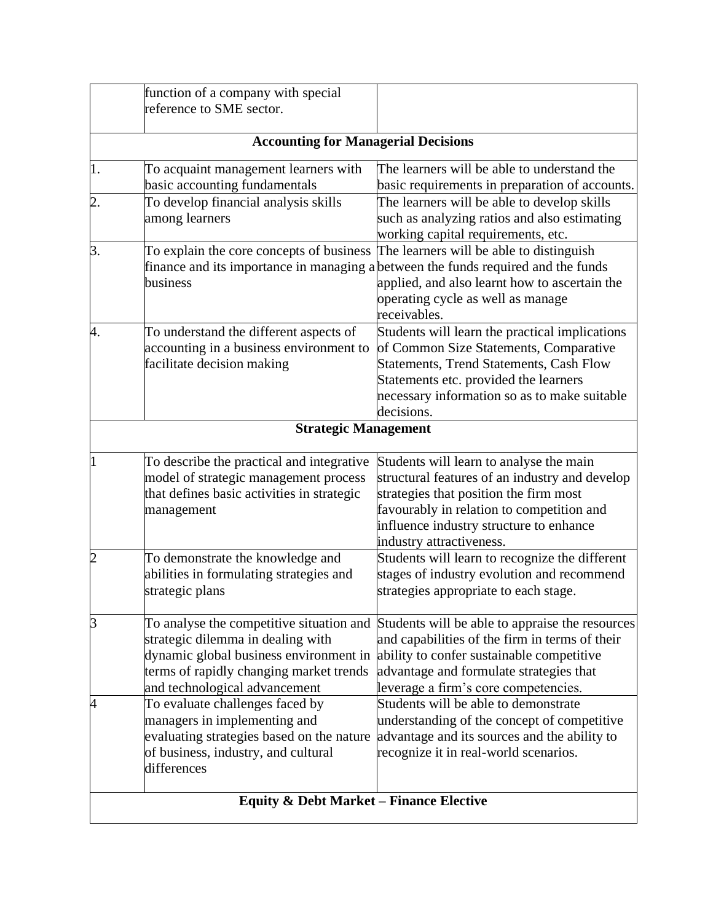|                  | function of a company with special                 |                                                                                   |  |  |
|------------------|----------------------------------------------------|-----------------------------------------------------------------------------------|--|--|
|                  | reference to SME sector.                           |                                                                                   |  |  |
|                  | <b>Accounting for Managerial Decisions</b>         |                                                                                   |  |  |
| 1.               | To acquaint management learners with               | The learners will be able to understand the                                       |  |  |
|                  | basic accounting fundamentals                      | basic requirements in preparation of accounts.                                    |  |  |
| $\overline{2}$ . | To develop financial analysis skills               | The learners will be able to develop skills                                       |  |  |
|                  | among learners                                     | such as analyzing ratios and also estimating                                      |  |  |
|                  |                                                    | working capital requirements, etc.                                                |  |  |
| 3.               | To explain the core concepts of business           | The learners will be able to distinguish                                          |  |  |
|                  |                                                    | finance and its importance in managing a between the funds required and the funds |  |  |
|                  | business                                           | applied, and also learnt how to ascertain the                                     |  |  |
|                  |                                                    | operating cycle as well as manage                                                 |  |  |
|                  |                                                    | receivables.                                                                      |  |  |
| 4.               | To understand the different aspects of             | Students will learn the practical implications                                    |  |  |
|                  | accounting in a business environment to            | of Common Size Statements, Comparative                                            |  |  |
|                  | facilitate decision making                         | Statements, Trend Statements, Cash Flow                                           |  |  |
|                  |                                                    | Statements etc. provided the learners                                             |  |  |
|                  |                                                    | necessary information so as to make suitable                                      |  |  |
|                  |                                                    | decisions.                                                                        |  |  |
|                  | <b>Strategic Management</b>                        |                                                                                   |  |  |
|                  | To describe the practical and integrative          | Students will learn to analyse the main                                           |  |  |
|                  | model of strategic management process              | structural features of an industry and develop                                    |  |  |
|                  | that defines basic activities in strategic         | strategies that position the firm most                                            |  |  |
|                  | management                                         | favourably in relation to competition and                                         |  |  |
|                  |                                                    | influence industry structure to enhance                                           |  |  |
|                  |                                                    | industry attractiveness.                                                          |  |  |
| $\overline{c}$   | To demonstrate the knowledge and                   | Students will learn to recognize the different                                    |  |  |
|                  | abilities in formulating strategies and            | stages of industry evolution and recommend                                        |  |  |
|                  | strategic plans                                    | strategies appropriate to each stage.                                             |  |  |
| 3                | To analyse the competitive situation and           | Students will be able to appraise the resources                                   |  |  |
|                  | strategic dilemma in dealing with                  | and capabilities of the firm in terms of their                                    |  |  |
|                  | dynamic global business environment in             | ability to confer sustainable competitive                                         |  |  |
|                  | terms of rapidly changing market trends            | advantage and formulate strategies that                                           |  |  |
|                  | and technological advancement                      | leverage a firm's core competencies.                                              |  |  |
|                  | To evaluate challenges faced by                    | Students will be able to demonstrate                                              |  |  |
|                  | managers in implementing and                       | understanding of the concept of competitive                                       |  |  |
|                  | evaluating strategies based on the nature          | advantage and its sources and the ability to                                      |  |  |
|                  | of business, industry, and cultural                | recognize it in real-world scenarios.                                             |  |  |
|                  | differences                                        |                                                                                   |  |  |
|                  | <b>Equity &amp; Debt Market - Finance Elective</b> |                                                                                   |  |  |
|                  |                                                    |                                                                                   |  |  |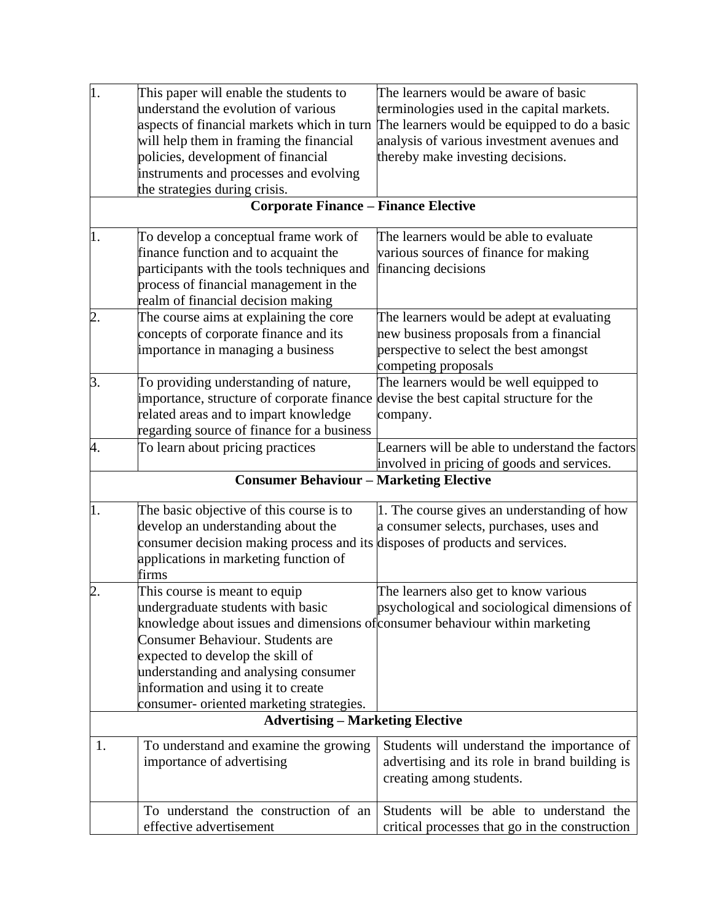| 1.               | This paper will enable the students to                                               | The learners would be aware of basic            |
|------------------|--------------------------------------------------------------------------------------|-------------------------------------------------|
|                  | understand the evolution of various                                                  | terminologies used in the capital markets.      |
|                  | aspects of financial markets which in turn                                           | The learners would be equipped to do a basic    |
|                  | will help them in framing the financial                                              | analysis of various investment avenues and      |
|                  | policies, development of financial                                                   | thereby make investing decisions.               |
|                  | instruments and processes and evolving                                               |                                                 |
|                  | the strategies during crisis.                                                        |                                                 |
|                  | <b>Corporate Finance - Finance Elective</b>                                          |                                                 |
| 1.               | To develop a conceptual frame work of                                                | The learners would be able to evaluate          |
|                  | finance function and to acquaint the                                                 | various sources of finance for making           |
|                  | participants with the tools techniques and                                           | financing decisions                             |
|                  | process of financial management in the                                               |                                                 |
|                  | realm of financial decision making                                                   |                                                 |
| $\overline{2}$ . | The course aims at explaining the core                                               | The learners would be adept at evaluating       |
|                  | concepts of corporate finance and its                                                | new business proposals from a financial         |
|                  | importance in managing a business                                                    | perspective to select the best amongst          |
|                  |                                                                                      | competing proposals                             |
| 3.               | To providing understanding of nature,                                                | The learners would be well equipped to          |
|                  | importance, structure of corporate finance devise the best capital structure for the |                                                 |
|                  | related areas and to impart knowledge                                                | company.                                        |
|                  | regarding source of finance for a business                                           |                                                 |
| 4.               | To learn about pricing practices                                                     | Learners will be able to understand the factors |
|                  |                                                                                      | involved in pricing of goods and services.      |
|                  | <b>Consumer Behaviour - Marketing Elective</b>                                       |                                                 |
| $\overline{1}$ . | The basic objective of this course is to                                             | 1. The course gives an understanding of how     |
|                  | develop an understanding about the                                                   | a consumer selects, purchases, uses and         |
|                  | consumer decision making process and its disposes of products and services.          |                                                 |
|                  | applications in marketing function of                                                |                                                 |
|                  | firms                                                                                |                                                 |
| $\overline{2}$ . | This course is meant to equip                                                        | The learners also get to know various           |
|                  | undergraduate students with basic                                                    | psychological and sociological dimensions of    |
|                  | knowledge about issues and dimensions of consumer behaviour within marketing         |                                                 |
|                  | Consumer Behaviour. Students are                                                     |                                                 |
|                  | expected to develop the skill of                                                     |                                                 |
|                  | understanding and analysing consumer                                                 |                                                 |
|                  | information and using it to create                                                   |                                                 |
|                  | consumer- oriented marketing strategies.                                             |                                                 |
|                  | <b>Advertising - Marketing Elective</b>                                              |                                                 |
| 1.               | To understand and examine the growing                                                | Students will understand the importance of      |
|                  | importance of advertising                                                            | advertising and its role in brand building is   |
|                  |                                                                                      | creating among students.                        |
|                  |                                                                                      |                                                 |
|                  | To understand the construction of an                                                 | Students will be able to understand the         |
|                  | effective advertisement                                                              | critical processes that go in the construction  |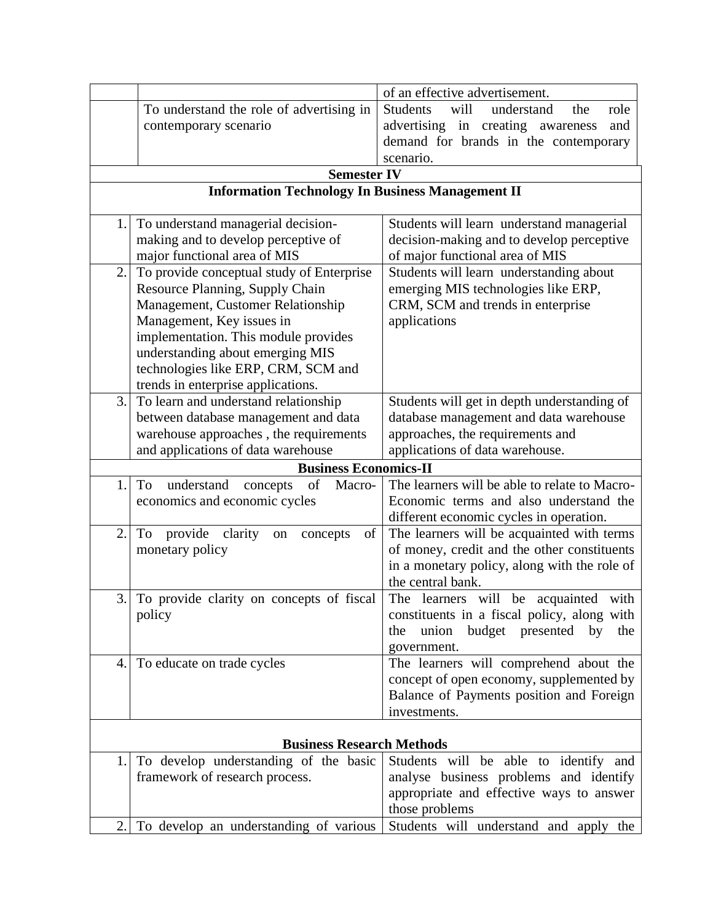|                  |                                                                                                                                                                                     | of an effective advertisement.                                                                                                                                                                                                                                                                                                                           |
|------------------|-------------------------------------------------------------------------------------------------------------------------------------------------------------------------------------|----------------------------------------------------------------------------------------------------------------------------------------------------------------------------------------------------------------------------------------------------------------------------------------------------------------------------------------------------------|
|                  | To understand the role of advertising in                                                                                                                                            | understand<br><b>Students</b><br>will<br>role<br>the                                                                                                                                                                                                                                                                                                     |
|                  | contemporary scenario                                                                                                                                                               | advertising in creating awareness<br>and                                                                                                                                                                                                                                                                                                                 |
|                  |                                                                                                                                                                                     | demand for brands in the contemporary                                                                                                                                                                                                                                                                                                                    |
|                  |                                                                                                                                                                                     | scenario.                                                                                                                                                                                                                                                                                                                                                |
|                  | <b>Semester IV</b>                                                                                                                                                                  |                                                                                                                                                                                                                                                                                                                                                          |
|                  | <b>Information Technology In Business Management II</b>                                                                                                                             |                                                                                                                                                                                                                                                                                                                                                          |
|                  |                                                                                                                                                                                     |                                                                                                                                                                                                                                                                                                                                                          |
| 1.               | To understand managerial decision-                                                                                                                                                  | Students will learn understand managerial                                                                                                                                                                                                                                                                                                                |
|                  | making and to develop perceptive of                                                                                                                                                 | decision-making and to develop perceptive                                                                                                                                                                                                                                                                                                                |
|                  | major functional area of MIS                                                                                                                                                        | of major functional area of MIS                                                                                                                                                                                                                                                                                                                          |
| 2.               | To provide conceptual study of Enterprise                                                                                                                                           | Students will learn understanding about                                                                                                                                                                                                                                                                                                                  |
|                  | Resource Planning, Supply Chain                                                                                                                                                     | emerging MIS technologies like ERP,                                                                                                                                                                                                                                                                                                                      |
|                  | Management, Customer Relationship                                                                                                                                                   | CRM, SCM and trends in enterprise                                                                                                                                                                                                                                                                                                                        |
|                  | Management, Key issues in                                                                                                                                                           | applications                                                                                                                                                                                                                                                                                                                                             |
|                  | implementation. This module provides                                                                                                                                                |                                                                                                                                                                                                                                                                                                                                                          |
|                  | understanding about emerging MIS                                                                                                                                                    |                                                                                                                                                                                                                                                                                                                                                          |
|                  | technologies like ERP, CRM, SCM and                                                                                                                                                 |                                                                                                                                                                                                                                                                                                                                                          |
|                  | trends in enterprise applications.                                                                                                                                                  |                                                                                                                                                                                                                                                                                                                                                          |
| 3.               | To learn and understand relationship                                                                                                                                                | Students will get in depth understanding of                                                                                                                                                                                                                                                                                                              |
|                  | between database management and data                                                                                                                                                | database management and data warehouse                                                                                                                                                                                                                                                                                                                   |
|                  | warehouse approaches, the requirements                                                                                                                                              | approaches, the requirements and                                                                                                                                                                                                                                                                                                                         |
|                  | and applications of data warehouse                                                                                                                                                  | applications of data warehouse.                                                                                                                                                                                                                                                                                                                          |
|                  | <b>Business Economics-II</b>                                                                                                                                                        |                                                                                                                                                                                                                                                                                                                                                          |
| 1.               | To<br>understand<br>of<br>Macro-<br>concepts                                                                                                                                        | The learners will be able to relate to Macro-                                                                                                                                                                                                                                                                                                            |
|                  | economics and economic cycles                                                                                                                                                       | Economic terms and also understand the                                                                                                                                                                                                                                                                                                                   |
|                  |                                                                                                                                                                                     | different economic cycles in operation.                                                                                                                                                                                                                                                                                                                  |
| $\overline{2}$ . | To<br>provide<br>clarity<br>of<br>concepts<br>on                                                                                                                                    | The learners will be acquainted with terms                                                                                                                                                                                                                                                                                                               |
|                  | monetary policy                                                                                                                                                                     | of money, credit and the other constituents                                                                                                                                                                                                                                                                                                              |
|                  |                                                                                                                                                                                     | in a monetary policy, along with the role of                                                                                                                                                                                                                                                                                                             |
|                  |                                                                                                                                                                                     | the central bank.                                                                                                                                                                                                                                                                                                                                        |
| 3.               | To provide clarity on concepts of fiscal                                                                                                                                            | The learners will be<br>acquainted<br>with                                                                                                                                                                                                                                                                                                               |
|                  | policy                                                                                                                                                                              | constituents in a fiscal policy, along with                                                                                                                                                                                                                                                                                                              |
|                  |                                                                                                                                                                                     | budget presented<br>union<br>by<br>the<br>the                                                                                                                                                                                                                                                                                                            |
|                  |                                                                                                                                                                                     |                                                                                                                                                                                                                                                                                                                                                          |
|                  |                                                                                                                                                                                     |                                                                                                                                                                                                                                                                                                                                                          |
|                  |                                                                                                                                                                                     |                                                                                                                                                                                                                                                                                                                                                          |
|                  |                                                                                                                                                                                     |                                                                                                                                                                                                                                                                                                                                                          |
|                  |                                                                                                                                                                                     |                                                                                                                                                                                                                                                                                                                                                          |
|                  |                                                                                                                                                                                     |                                                                                                                                                                                                                                                                                                                                                          |
|                  |                                                                                                                                                                                     |                                                                                                                                                                                                                                                                                                                                                          |
|                  |                                                                                                                                                                                     |                                                                                                                                                                                                                                                                                                                                                          |
|                  |                                                                                                                                                                                     |                                                                                                                                                                                                                                                                                                                                                          |
|                  |                                                                                                                                                                                     |                                                                                                                                                                                                                                                                                                                                                          |
|                  |                                                                                                                                                                                     |                                                                                                                                                                                                                                                                                                                                                          |
| 4.<br>1.<br>2.   | To educate on trade cycles<br><b>Business Research Methods</b><br>To develop understanding of the basic<br>framework of research process.<br>To develop an understanding of various | government.<br>The learners will comprehend about the<br>concept of open economy, supplemented by<br>Balance of Payments position and Foreign<br>investments.<br>Students will be able to identify and<br>analyse business problems and identify<br>appropriate and effective ways to answer<br>those problems<br>Students will understand and apply the |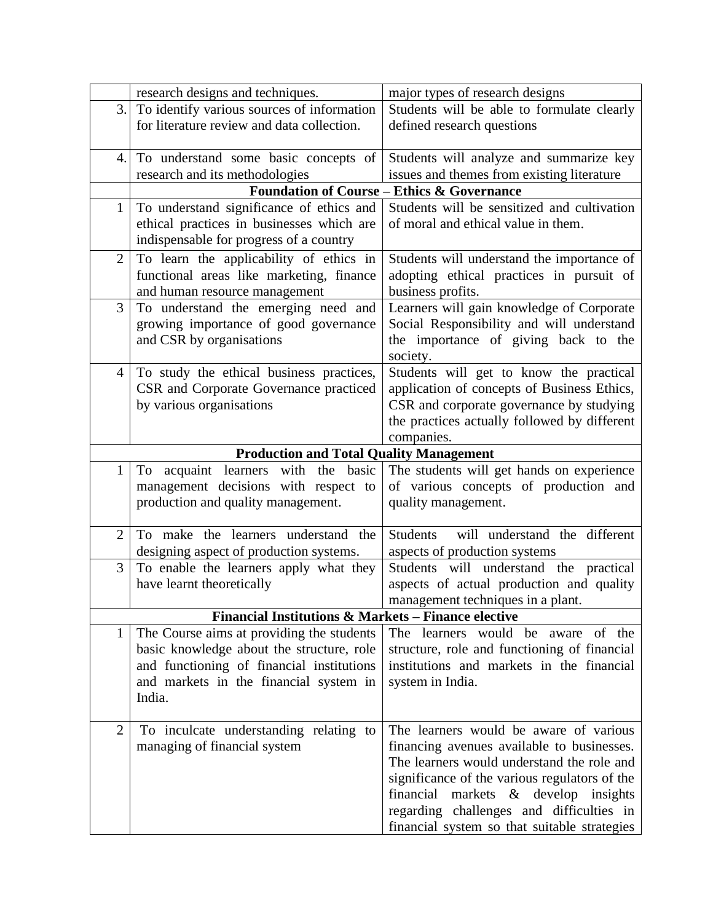|                | research designs and techniques.                    | major types of research designs                       |  |
|----------------|-----------------------------------------------------|-------------------------------------------------------|--|
| 3.1            | To identify various sources of information          | Students will be able to formulate clearly            |  |
|                | for literature review and data collection.          | defined research questions                            |  |
| 4.             | To understand some basic concepts of                | Students will analyze and summarize key               |  |
|                | research and its methodologies                      | issues and themes from existing literature            |  |
|                |                                                     | <b>Foundation of Course - Ethics &amp; Governance</b> |  |
| $\mathbf{1}$   | To understand significance of ethics and            | Students will be sensitized and cultivation           |  |
|                | ethical practices in businesses which are           | of moral and ethical value in them.                   |  |
|                | indispensable for progress of a country             |                                                       |  |
| $\overline{2}$ | To learn the applicability of ethics in             | Students will understand the importance of            |  |
|                | functional areas like marketing, finance            | adopting ethical practices in pursuit of              |  |
|                | and human resource management                       | business profits.                                     |  |
| 3              | To understand the emerging need and                 | Learners will gain knowledge of Corporate             |  |
|                | growing importance of good governance               | Social Responsibility and will understand             |  |
|                | and CSR by organisations                            | the importance of giving back to the                  |  |
|                |                                                     | society.                                              |  |
| 4              | To study the ethical business practices,            | Students will get to know the practical               |  |
|                | CSR and Corporate Governance practiced              | application of concepts of Business Ethics,           |  |
|                | by various organisations                            | CSR and corporate governance by studying              |  |
|                |                                                     | the practices actually followed by different          |  |
|                |                                                     | companies.                                            |  |
|                | <b>Production and Total Quality Management</b>      |                                                       |  |
| $\mathbf{1}$   | To acquaint learners with the basic                 | The students will get hands on experience             |  |
|                | management decisions with respect to                | of various concepts of production and                 |  |
|                | production and quality management.                  | quality management.                                   |  |
| $\overline{2}$ | To make the learners understand the                 | <b>Students</b><br>will understand the different      |  |
|                | designing aspect of production systems.             | aspects of production systems                         |  |
| 3              | To enable the learners apply what they              | Students will understand the practical                |  |
|                | have learnt theoretically                           | aspects of actual production and quality              |  |
|                |                                                     | management techniques in a plant.                     |  |
|                | Financial Institutions & Markets - Finance elective |                                                       |  |
| 1              | The Course aims at providing the students           | The learners would be aware of the                    |  |
|                | basic knowledge about the structure, role           | structure, role and functioning of financial          |  |
|                | and functioning of financial institutions           | institutions and markets in the financial             |  |
|                | and markets in the financial system in              | system in India.                                      |  |
|                | India.                                              |                                                       |  |
| $\overline{2}$ | To inculcate understanding relating to              | The learners would be aware of various                |  |
|                | managing of financial system                        | financing avenues available to businesses.            |  |
|                |                                                     | The learners would understand the role and            |  |
|                |                                                     | significance of the various regulators of the         |  |
|                |                                                     | financial markets $\&$ develop insights               |  |
|                |                                                     | regarding challenges and difficulties in              |  |
|                |                                                     | financial system so that suitable strategies          |  |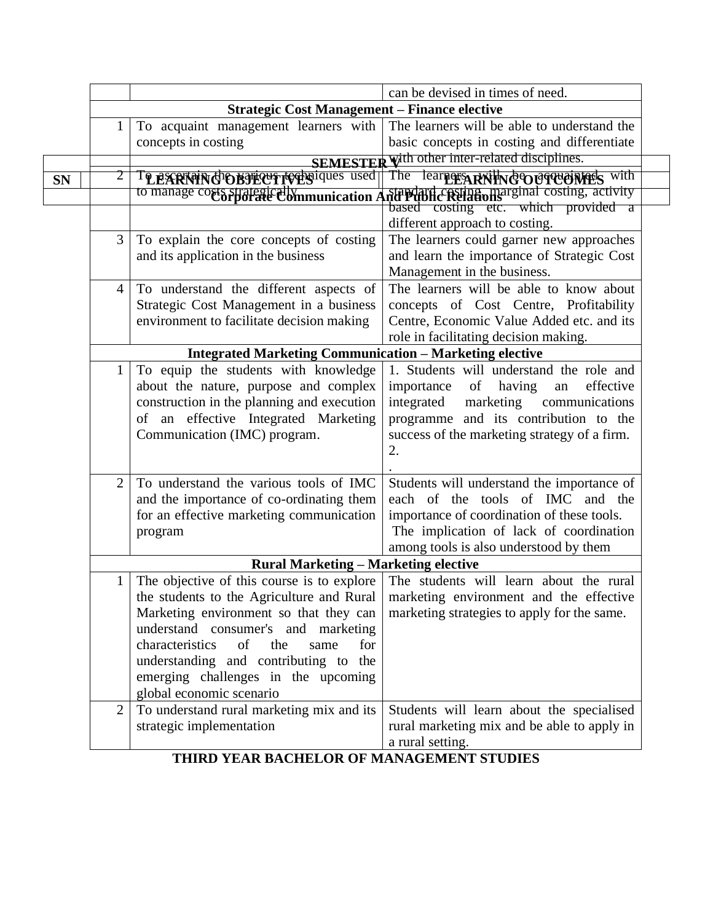|           |                |                                                                | can be devised in times of need.              |
|-----------|----------------|----------------------------------------------------------------|-----------------------------------------------|
|           |                | <b>Strategic Cost Management - Finance elective</b>            |                                               |
|           | 1              | To acquaint management learners with                           | The learners will be able to understand the   |
|           |                | concepts in costing                                            | basic concepts in costing and differentiate   |
|           |                | SEMESTER                                                       | with other inter-related disciplines.         |
| <b>SN</b> |                | TO EXPRIMING DEFICULTORS used                                  | The learners RNING OUT UNITES with            |
|           |                | to manage costs strategic ally munication A                    | standard costing marginal costing, activity   |
|           |                |                                                                | based costing etc. which provided a           |
|           |                |                                                                | different approach to costing.                |
|           | 3              | To explain the core concepts of costing                        | The learners could garner new approaches      |
|           |                | and its application in the business                            | and learn the importance of Strategic Cost    |
|           |                |                                                                | Management in the business.                   |
|           | $\overline{4}$ | To understand the different aspects of                         | The learners will be able to know about       |
|           |                | Strategic Cost Management in a business                        | concepts of Cost Centre, Profitability        |
|           |                | environment to facilitate decision making                      | Centre, Economic Value Added etc. and its     |
|           |                |                                                                | role in facilitating decision making.         |
|           |                | <b>Integrated Marketing Communication - Marketing elective</b> |                                               |
|           | $\mathbf 1$    | To equip the students with knowledge                           | 1. Students will understand the role and      |
|           |                | about the nature, purpose and complex                          | importance<br>of<br>having<br>effective<br>an |
|           |                | construction in the planning and execution                     | integrated<br>marketing<br>communications     |
|           |                | of an effective Integrated Marketing                           | programme and its contribution to the         |
|           |                | Communication (IMC) program.                                   | success of the marketing strategy of a firm.  |
|           |                |                                                                | 2.                                            |
|           |                |                                                                |                                               |
|           | 2              | To understand the various tools of IMC                         | Students will understand the importance of    |
|           |                | and the importance of co-ordinating them                       | each of the tools of IMC and the              |
|           |                | for an effective marketing communication                       | importance of coordination of these tools.    |
|           |                | program                                                        | The implication of lack of coordination       |
|           |                |                                                                | among tools is also understood by them        |
|           |                | <b>Rural Marketing - Marketing elective</b>                    |                                               |
|           | $\mathbf 1$    | The objective of this course is to explore                     | The students will learn about the rural       |
|           |                | the students to the Agriculture and Rural                      | marketing environment and the effective       |
|           |                | Marketing environment so that they can                         | marketing strategies to apply for the same.   |
|           |                | understand consumer's and marketing                            |                                               |
|           |                | characteristics<br>of<br>the<br>for<br>same                    |                                               |
|           |                | understanding and contributing to the                          |                                               |
|           |                | emerging challenges in the upcoming                            |                                               |
|           |                | global economic scenario                                       |                                               |
|           | $\overline{2}$ | To understand rural marketing mix and its                      | Students will learn about the specialised     |
|           |                | strategic implementation                                       | rural marketing mix and be able to apply in   |
|           |                |                                                                | a rural setting.                              |

**THIRD YEAR BACHELOR OF MANAGEMENT STUDIES**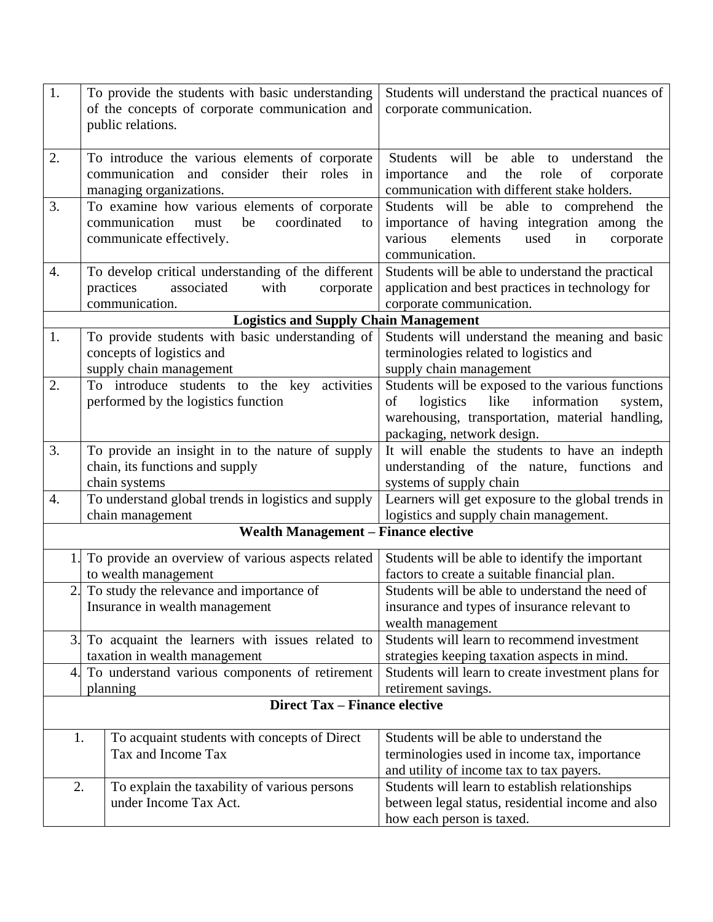| 1.                                             | To provide the students with basic understanding                         | Students will understand the practical nuances of                            |
|------------------------------------------------|--------------------------------------------------------------------------|------------------------------------------------------------------------------|
| of the concepts of corporate communication and |                                                                          | corporate communication.                                                     |
| public relations.                              |                                                                          |                                                                              |
|                                                |                                                                          |                                                                              |
| 2.                                             | To introduce the various elements of corporate                           | Students will be able to<br>understand the                                   |
|                                                | communication and consider their roles in                                | of<br>and<br>importance<br>the<br>role<br>corporate                          |
|                                                | managing organizations.                                                  | communication with different stake holders.                                  |
| 3.                                             | To examine how various elements of corporate                             | Students will be able to comprehend the                                      |
|                                                | communication<br>coordinated<br>must<br>be<br>to                         | importance of having integration among the                                   |
|                                                | communicate effectively.                                                 | various<br>elements<br>used<br>in<br>corporate                               |
|                                                |                                                                          | communication.                                                               |
| 4.                                             | To develop critical understanding of the different<br>associated<br>with | Students will be able to understand the practical                            |
|                                                | practices<br>corporate<br>communication.                                 | application and best practices in technology for<br>corporate communication. |
|                                                | <b>Logistics and Supply Chain Management</b>                             |                                                                              |
| 1.                                             | To provide students with basic understanding of                          | Students will understand the meaning and basic                               |
|                                                | concepts of logistics and                                                | terminologies related to logistics and                                       |
|                                                | supply chain management                                                  | supply chain management                                                      |
| 2.                                             | To introduce students to the key activities                              | Students will be exposed to the various functions                            |
|                                                | performed by the logistics function                                      | like<br>οf<br>logistics<br>information<br>system,                            |
|                                                |                                                                          | warehousing, transportation, material handling,                              |
|                                                |                                                                          | packaging, network design.                                                   |
| 3.                                             | To provide an insight in to the nature of supply                         | It will enable the students to have an indepth                               |
|                                                | chain, its functions and supply                                          | understanding of the nature, functions and                                   |
| chain systems                                  |                                                                          | systems of supply chain                                                      |
| 4.                                             | To understand global trends in logistics and supply                      | Learners will get exposure to the global trends in                           |
| chain management                               |                                                                          | logistics and supply chain management.                                       |
|                                                | <b>Wealth Management – Finance elective</b>                              |                                                                              |
|                                                | To provide an overview of various aspects related                        | Students will be able to identify the important                              |
|                                                | to wealth management                                                     | factors to create a suitable financial plan.                                 |
|                                                | 2. To study the relevance and importance of                              | Students will be able to understand the need of                              |
|                                                | Insurance in wealth management                                           | insurance and types of insurance relevant to                                 |
|                                                |                                                                          | wealth management                                                            |
|                                                | 3. To acquaint the learners with issues related to                       | Students will learn to recommend investment                                  |
|                                                | taxation in wealth management                                            | strategies keeping taxation aspects in mind.                                 |
| 4.                                             | To understand various components of retirement                           | Students will learn to create investment plans for                           |
| planning                                       |                                                                          | retirement savings.                                                          |
|                                                | <b>Direct Tax - Finance elective</b>                                     |                                                                              |
| 1.                                             | To acquaint students with concepts of Direct                             | Students will be able to understand the                                      |
|                                                | Tax and Income Tax                                                       | terminologies used in income tax, importance                                 |
|                                                |                                                                          | and utility of income tax to tax payers.                                     |
| 2.                                             | To explain the taxability of various persons                             | Students will learn to establish relationships                               |
|                                                | under Income Tax Act.                                                    | between legal status, residential income and also                            |
|                                                |                                                                          | how each person is taxed.                                                    |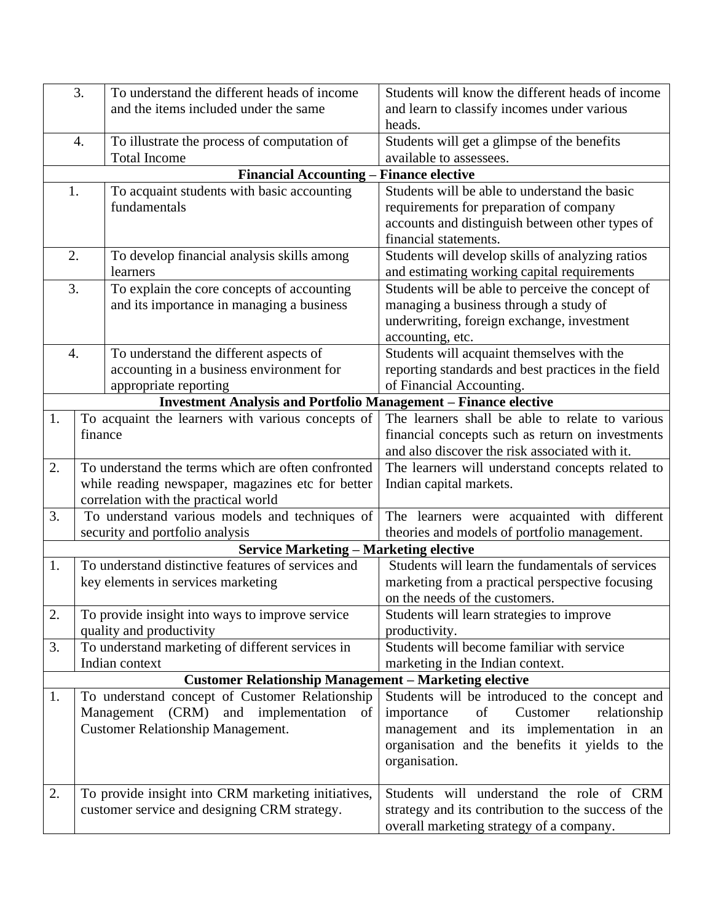|                  | 3.      | To understand the different heads of income                                      | Students will know the different heads of income    |
|------------------|---------|----------------------------------------------------------------------------------|-----------------------------------------------------|
|                  |         | and the items included under the same                                            | and learn to classify incomes under various         |
|                  |         |                                                                                  | heads.                                              |
|                  | 4.      | To illustrate the process of computation of                                      | Students will get a glimpse of the benefits         |
|                  |         | <b>Total Income</b>                                                              | available to assessees.                             |
|                  |         | <b>Financial Accounting - Finance elective</b>                                   |                                                     |
| 1.               |         | To acquaint students with basic accounting                                       | Students will be able to understand the basic       |
|                  |         | fundamentals                                                                     | requirements for preparation of company             |
|                  |         |                                                                                  | accounts and distinguish between other types of     |
|                  |         |                                                                                  | financial statements.                               |
| 2.               |         | To develop financial analysis skills among                                       | Students will develop skills of analyzing ratios    |
|                  |         | learners                                                                         | and estimating working capital requirements         |
| 3.               |         | To explain the core concepts of accounting                                       | Students will be able to perceive the concept of    |
|                  |         | and its importance in managing a business                                        | managing a business through a study of              |
|                  |         |                                                                                  | underwriting, foreign exchange, investment          |
|                  |         |                                                                                  | accounting, etc.                                    |
| $\overline{4}$ . |         | To understand the different aspects of                                           | Students will acquaint themselves with the          |
|                  |         | accounting in a business environment for                                         | reporting standards and best practices in the field |
|                  |         | appropriate reporting                                                            | of Financial Accounting.                            |
|                  |         | <b>Investment Analysis and Portfolio Management - Finance elective</b>           |                                                     |
| 1.               |         | To acquaint the learners with various concepts of                                | The learners shall be able to relate to various     |
|                  | finance |                                                                                  | financial concepts such as return on investments    |
|                  |         |                                                                                  | and also discover the risk associated with it.      |
| 2.               |         | To understand the terms which are often confronted                               | The learners will understand concepts related to    |
|                  |         | while reading newspaper, magazines etc for better                                | Indian capital markets.                             |
| 3.               |         | correlation with the practical world                                             |                                                     |
|                  |         | To understand various models and techniques of                                   | The learners were acquainted with different         |
|                  |         | security and portfolio analysis<br><b>Service Marketing – Marketing elective</b> | theories and models of portfolio management.        |
| 1.               |         | To understand distinctive features of services and                               | Students will learn the fundamentals of services    |
|                  |         | key elements in services marketing                                               | marketing from a practical perspective focusing     |
|                  |         |                                                                                  | on the needs of the customers.                      |
| 2.               |         | To provide insight into ways to improve service                                  | Students will learn strategies to improve           |
|                  |         | quality and productivity                                                         | productivity.                                       |
| 3.               |         | To understand marketing of different services in                                 | Students will become familiar with service          |
|                  |         | Indian context                                                                   | marketing in the Indian context.                    |
|                  |         | <b>Customer Relationship Management - Marketing elective</b>                     |                                                     |
| 1.               |         | To understand concept of Customer Relationship                                   | Students will be introduced to the concept and      |
|                  |         | Management (CRM)<br>and implementation of                                        | of<br>Customer<br>relationship<br>importance        |
|                  |         | <b>Customer Relationship Management.</b>                                         | management and its implementation in an             |
|                  |         |                                                                                  | organisation and the benefits it yields to the      |
|                  |         |                                                                                  | organisation.                                       |
|                  |         |                                                                                  |                                                     |
| 2.               |         | To provide insight into CRM marketing initiatives,                               | Students will understand the role of CRM            |
|                  |         | customer service and designing CRM strategy.                                     | strategy and its contribution to the success of the |
|                  |         |                                                                                  | overall marketing strategy of a company.            |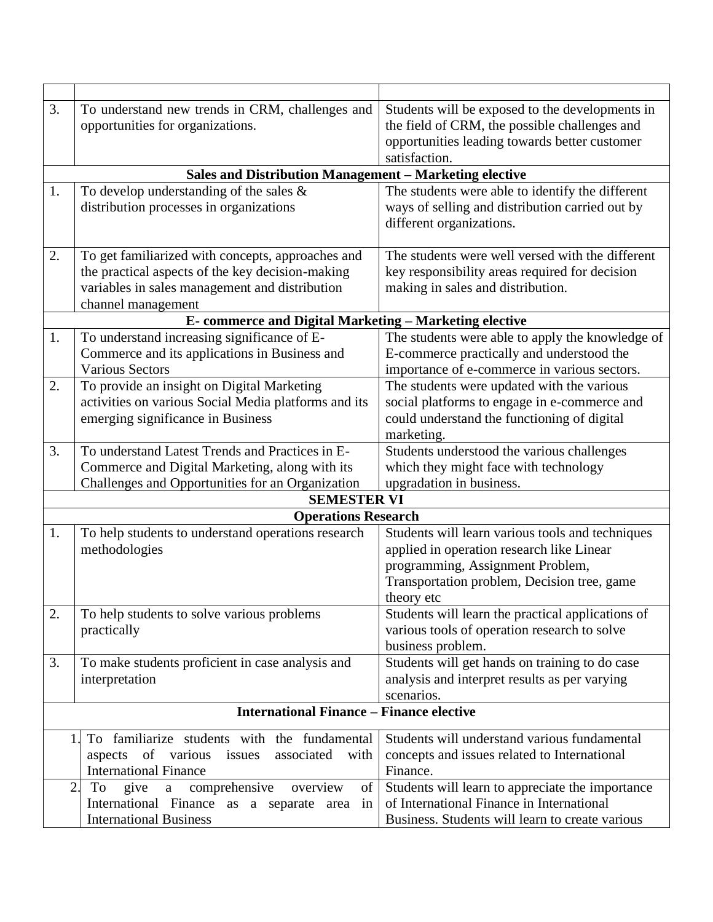| 3.                            | To understand new trends in CRM, challenges and          | Students will be exposed to the developments in   |  |  |  |
|-------------------------------|----------------------------------------------------------|---------------------------------------------------|--|--|--|
|                               | opportunities for organizations.                         | the field of CRM, the possible challenges and     |  |  |  |
|                               |                                                          | opportunities leading towards better customer     |  |  |  |
|                               |                                                          | satisfaction.                                     |  |  |  |
|                               | Sales and Distribution Management - Marketing elective   |                                                   |  |  |  |
| 1.                            | To develop understanding of the sales $\&$               | The students were able to identify the different  |  |  |  |
|                               | distribution processes in organizations                  | ways of selling and distribution carried out by   |  |  |  |
|                               |                                                          | different organizations.                          |  |  |  |
|                               |                                                          |                                                   |  |  |  |
| 2.                            | To get familiarized with concepts, approaches and        | The students were well versed with the different  |  |  |  |
|                               | the practical aspects of the key decision-making         | key responsibility areas required for decision    |  |  |  |
|                               | variables in sales management and distribution           | making in sales and distribution.                 |  |  |  |
|                               | channel management                                       |                                                   |  |  |  |
|                               | E-commerce and Digital Marketing - Marketing elective    |                                                   |  |  |  |
| 1.                            | To understand increasing significance of E-              | The students were able to apply the knowledge of  |  |  |  |
|                               | Commerce and its applications in Business and            | E-commerce practically and understood the         |  |  |  |
|                               | <b>Various Sectors</b>                                   | importance of e-commerce in various sectors.      |  |  |  |
| 2.                            | To provide an insight on Digital Marketing               | The students were updated with the various        |  |  |  |
|                               | activities on various Social Media platforms and its     | social platforms to engage in e-commerce and      |  |  |  |
|                               | emerging significance in Business                        | could understand the functioning of digital       |  |  |  |
|                               |                                                          | marketing.                                        |  |  |  |
| 3.                            | To understand Latest Trends and Practices in E-          | Students understood the various challenges        |  |  |  |
|                               | Commerce and Digital Marketing, along with its           | which they might face with technology             |  |  |  |
|                               | Challenges and Opportunities for an Organization         | upgradation in business.                          |  |  |  |
|                               | <b>SEMESTER VI</b>                                       |                                                   |  |  |  |
|                               | <b>Operations Research</b>                               |                                                   |  |  |  |
| 1.                            | To help students to understand operations research       | Students will learn various tools and techniques  |  |  |  |
|                               | methodologies                                            | applied in operation research like Linear         |  |  |  |
|                               |                                                          | programming, Assignment Problem,                  |  |  |  |
|                               |                                                          | Transportation problem, Decision tree, game       |  |  |  |
|                               |                                                          | theory etc                                        |  |  |  |
| 2.                            | To help students to solve various problems               | Students will learn the practical applications of |  |  |  |
|                               | practically                                              | various tools of operation research to solve      |  |  |  |
|                               |                                                          | business problem.                                 |  |  |  |
| 3.                            | To make students proficient in case analysis and         | Students will get hands on training to do case    |  |  |  |
|                               | interpretation                                           | analysis and interpret results as per varying     |  |  |  |
|                               |                                                          | scenarios.                                        |  |  |  |
|                               | <b>International Finance - Finance elective</b>          |                                                   |  |  |  |
|                               | To familiarize students with the fundamental<br>1.       | Students will understand various fundamental      |  |  |  |
|                               | of various<br>associated<br>aspects<br>issues<br>with    | concepts and issues related to International      |  |  |  |
|                               | <b>International Finance</b>                             | Finance.                                          |  |  |  |
|                               | comprehensive<br>2.<br>give<br>To<br>overview<br>of<br>a | Students will learn to appreciate the importance  |  |  |  |
|                               | International Finance as a separate area in              | of International Finance in International         |  |  |  |
| <b>International Business</b> |                                                          | Business. Students will learn to create various   |  |  |  |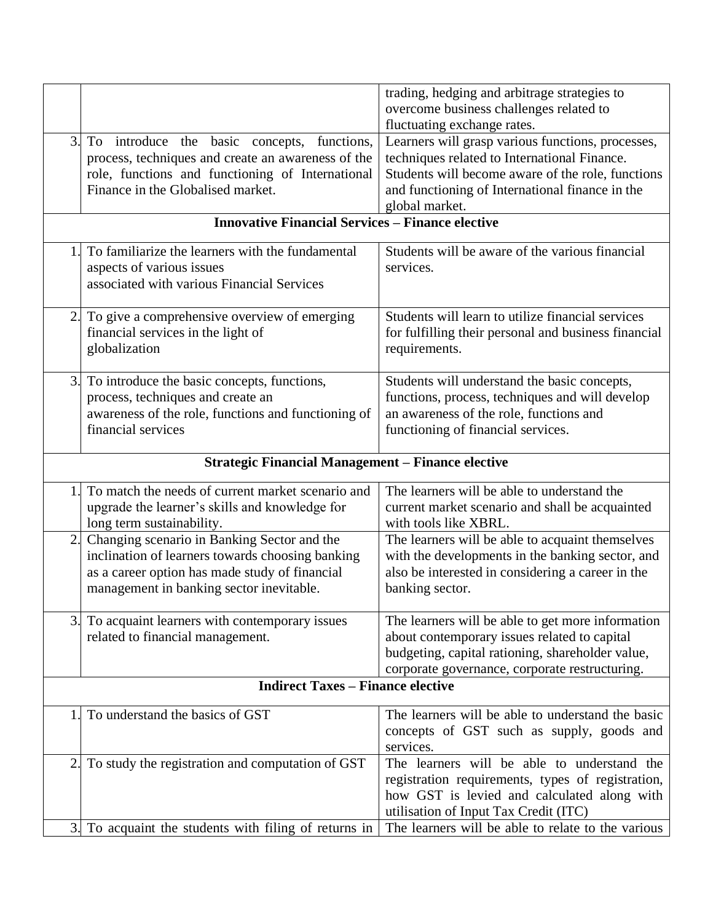|                                                          |                                                                                                                                                                                               | trading, hedging and arbitrage strategies to<br>overcome business challenges related to                                                                                                                                     |  |  |  |
|----------------------------------------------------------|-----------------------------------------------------------------------------------------------------------------------------------------------------------------------------------------------|-----------------------------------------------------------------------------------------------------------------------------------------------------------------------------------------------------------------------------|--|--|--|
|                                                          |                                                                                                                                                                                               | fluctuating exchange rates.                                                                                                                                                                                                 |  |  |  |
| 3.                                                       | To introduce the basic concepts, functions,<br>process, techniques and create an awareness of the<br>role, functions and functioning of International<br>Finance in the Globalised market.    | Learners will grasp various functions, processes,<br>techniques related to International Finance.<br>Students will become aware of the role, functions<br>and functioning of International finance in the<br>global market. |  |  |  |
|                                                          | <b>Innovative Financial Services - Finance elective</b>                                                                                                                                       |                                                                                                                                                                                                                             |  |  |  |
|                                                          | To familiarize the learners with the fundamental<br>aspects of various issues<br>associated with various Financial Services                                                                   | Students will be aware of the various financial<br>services.                                                                                                                                                                |  |  |  |
|                                                          | 2. To give a comprehensive overview of emerging<br>financial services in the light of<br>globalization                                                                                        | Students will learn to utilize financial services<br>for fulfilling their personal and business financial<br>requirements.                                                                                                  |  |  |  |
|                                                          | 3. To introduce the basic concepts, functions,<br>process, techniques and create an<br>awareness of the role, functions and functioning of<br>financial services                              | Students will understand the basic concepts,<br>functions, process, techniques and will develop<br>an awareness of the role, functions and<br>functioning of financial services.                                            |  |  |  |
| <b>Strategic Financial Management - Finance elective</b> |                                                                                                                                                                                               |                                                                                                                                                                                                                             |  |  |  |
|                                                          | To match the needs of current market scenario and<br>upgrade the learner's skills and knowledge for<br>long term sustainability.                                                              | The learners will be able to understand the<br>current market scenario and shall be acquainted<br>with tools like XBRL.                                                                                                     |  |  |  |
| 2.                                                       | Changing scenario in Banking Sector and the<br>inclination of learners towards choosing banking<br>as a career option has made study of financial<br>management in banking sector inevitable. | The learners will be able to acquaint themselves<br>with the developments in the banking sector, and<br>also be interested in considering a career in the<br>banking sector.                                                |  |  |  |
|                                                          | To acquaint learners with contemporary issues<br>related to financial management.                                                                                                             | The learners will be able to get more information<br>about contemporary issues related to capital<br>budgeting, capital rationing, shareholder value,<br>corporate governance, corporate restructuring.                     |  |  |  |
| <b>Indirect Taxes – Finance elective</b>                 |                                                                                                                                                                                               |                                                                                                                                                                                                                             |  |  |  |
|                                                          | To understand the basics of GST                                                                                                                                                               | The learners will be able to understand the basic<br>concepts of GST such as supply, goods and<br>services.                                                                                                                 |  |  |  |
| 2                                                        | To study the registration and computation of GST                                                                                                                                              | The learners will be able to understand the<br>registration requirements, types of registration,<br>how GST is levied and calculated along with<br>utilisation of Input Tax Credit (ITC)                                    |  |  |  |
|                                                          | 3. To acquaint the students with filing of returns in                                                                                                                                         | The learners will be able to relate to the various                                                                                                                                                                          |  |  |  |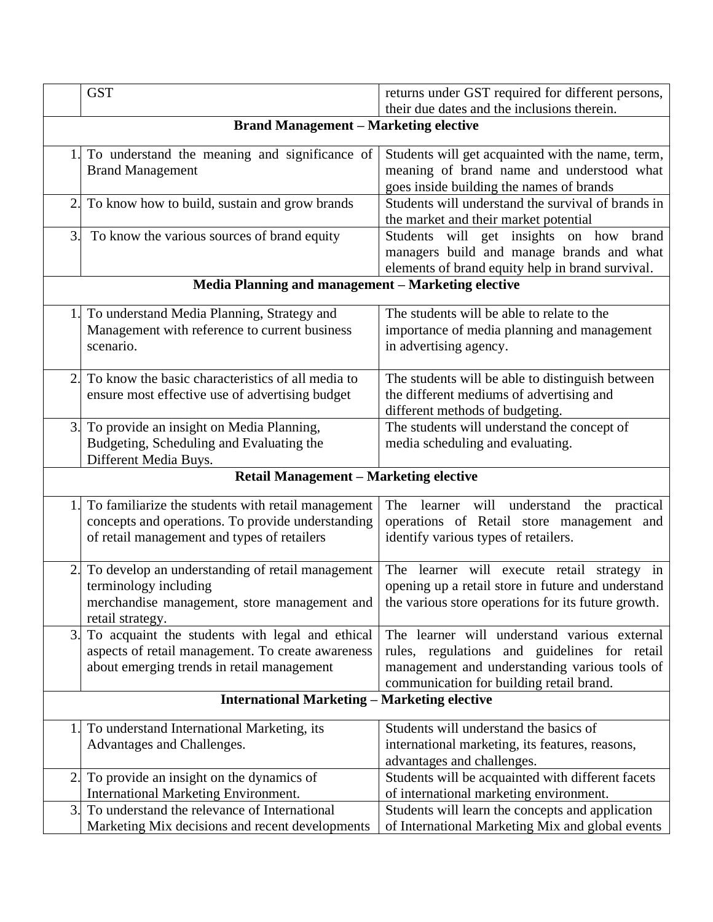|                                                    | <b>GST</b>                                                                                                                                             | returns under GST required for different persons,<br>their due dates and the inclusions therein.                                                                                          |  |  |
|----------------------------------------------------|--------------------------------------------------------------------------------------------------------------------------------------------------------|-------------------------------------------------------------------------------------------------------------------------------------------------------------------------------------------|--|--|
| <b>Brand Management - Marketing elective</b>       |                                                                                                                                                        |                                                                                                                                                                                           |  |  |
|                                                    | To understand the meaning and significance of<br><b>Brand Management</b>                                                                               | Students will get acquainted with the name, term,<br>meaning of brand name and understood what<br>goes inside building the names of brands                                                |  |  |
| 2.                                                 | To know how to build, sustain and grow brands                                                                                                          | Students will understand the survival of brands in<br>the market and their market potential                                                                                               |  |  |
| 3.                                                 | To know the various sources of brand equity                                                                                                            | Students will get insights on how brand<br>managers build and manage brands and what<br>elements of brand equity help in brand survival.                                                  |  |  |
| Media Planning and management - Marketing elective |                                                                                                                                                        |                                                                                                                                                                                           |  |  |
| 1 <sub>1</sub>                                     | To understand Media Planning, Strategy and<br>Management with reference to current business<br>scenario.                                               | The students will be able to relate to the<br>importance of media planning and management<br>in advertising agency.                                                                       |  |  |
| 2.                                                 | To know the basic characteristics of all media to<br>ensure most effective use of advertising budget                                                   | The students will be able to distinguish between<br>the different mediums of advertising and<br>different methods of budgeting.                                                           |  |  |
|                                                    | 3. To provide an insight on Media Planning,<br>Budgeting, Scheduling and Evaluating the<br>Different Media Buys.                                       | The students will understand the concept of<br>media scheduling and evaluating.                                                                                                           |  |  |
| <b>Retail Management - Marketing elective</b>      |                                                                                                                                                        |                                                                                                                                                                                           |  |  |
|                                                    | To familiarize the students with retail management<br>concepts and operations. To provide understanding<br>of retail management and types of retailers | The learner will understand the practical<br>operations of Retail store management and<br>identify various types of retailers.                                                            |  |  |
| 2.                                                 | To develop an understanding of retail management<br>terminology including<br>merchandise management, store management and<br>retail strategy.          | The learner will execute retail strategy in<br>opening up a retail store in future and understand<br>the various store operations for its future growth.                                  |  |  |
| 3.1                                                | To acquaint the students with legal and ethical<br>aspects of retail management. To create awareness<br>about emerging trends in retail management     | The learner will understand various external<br>rules, regulations and guidelines for retail<br>management and understanding various tools of<br>communication for building retail brand. |  |  |
|                                                    | <b>International Marketing – Marketing elective</b>                                                                                                    |                                                                                                                                                                                           |  |  |
| 1.                                                 | To understand International Marketing, its<br>Advantages and Challenges.                                                                               | Students will understand the basics of<br>international marketing, its features, reasons,<br>advantages and challenges.                                                                   |  |  |
| 2.                                                 | To provide an insight on the dynamics of<br><b>International Marketing Environment.</b>                                                                | Students will be acquainted with different facets<br>of international marketing environment.                                                                                              |  |  |
| 3.                                                 | To understand the relevance of International<br>Marketing Mix decisions and recent developments                                                        | Students will learn the concepts and application<br>of International Marketing Mix and global events                                                                                      |  |  |